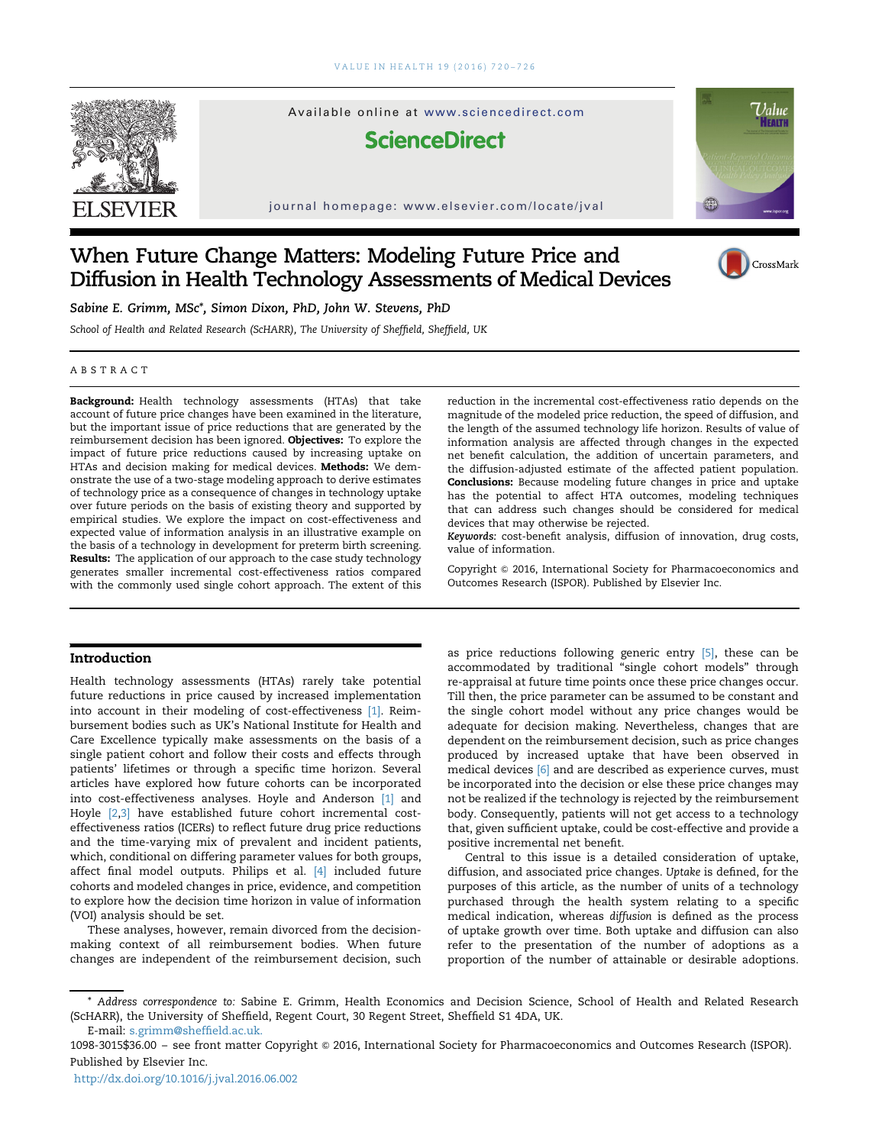

Available online at www.sciencedirect.com

**ScienceDirect** 

journal homepage: www.elsevier.com/locate/jval



CrossMark

# When Future Change Matters: Modeling Future Price and Diffusion in Health Technology Assessments of Medical Devices

Sabine E. Grimm, MSc\*, Simon Dixon, PhD, John W. Stevens, PhD

School of Health and Related Research (ScHARR), The University of Sheffield, Sheffield, UK

## ABSTRACT

Background: Health technology assessments (HTAs) that take account of future price changes have been examined in the literature, but the important issue of price reductions that are generated by the reimbursement decision has been ignored. Objectives: To explore the impact of future price reductions caused by increasing uptake on HTAs and decision making for medical devices. Methods: We demonstrate the use of a two-stage modeling approach to derive estimates of technology price as a consequence of changes in technology uptake over future periods on the basis of existing theory and supported by empirical studies. We explore the impact on cost-effectiveness and expected value of information analysis in an illustrative example on the basis of a technology in development for preterm birth screening. Results: The application of our approach to the case study technology generates smaller incremental cost-effectiveness ratios compared with the commonly used single cohort approach. The extent of this

# Introduction

Health technology assessments (HTAs) rarely take potential future reductions in price caused by increased implementation into account in their modeling of cost-effectiveness [\[1\]](#page-5-0). Reimbursement bodies such as UK's National Institute for Health and Care Excellence typically make assessments on the basis of a single patient cohort and follow their costs and effects through patients' lifetimes or through a specific time horizon. Several articles have explored how future cohorts can be incorporated into cost-effectiveness analyses. Hoyle and Anderson [\[1\]](#page-5-0) and Hoyle [\[2,3\]](#page-5-0) have established future cohort incremental costeffectiveness ratios (ICERs) to reflect future drug price reductions and the time-varying mix of prevalent and incident patients, which, conditional on differing parameter values for both groups, affect final model outputs. Philips et al. [\[4\]](#page-5-0) included future cohorts and modeled changes in price, evidence, and competition to explore how the decision time horizon in value of information (VOI) analysis should be set.

These analyses, however, remain divorced from the decisionmaking context of all reimbursement bodies. When future changes are independent of the reimbursement decision, such reduction in the incremental cost-effectiveness ratio depends on the magnitude of the modeled price reduction, the speed of diffusion, and the length of the assumed technology life horizon. Results of value of information analysis are affected through changes in the expected net benefit calculation, the addition of uncertain parameters, and the diffusion-adjusted estimate of the affected patient population. Conclusions: Because modeling future changes in price and uptake has the potential to affect HTA outcomes, modeling techniques that can address such changes should be considered for medical devices that may otherwise be rejected.

Keywords: cost-benefit analysis, diffusion of innovation, drug costs, value of information.

Copyright © 2016, International Society for Pharmacoeconomics and Outcomes Research (ISPOR). Published by Elsevier Inc.

as price reductions following generic entry [\[5\]](#page-5-0), these can be accommodated by traditional "single cohort models" through re-appraisal at future time points once these price changes occur. Till then, the price parameter can be assumed to be constant and the single cohort model without any price changes would be adequate for decision making. Nevertheless, changes that are dependent on the reimbursement decision, such as price changes produced by increased uptake that have been observed in medical devices [\[6\]](#page-5-0) and are described as experience curves, must be incorporated into the decision or else these price changes may not be realized if the technology is rejected by the reimbursement body. Consequently, patients will not get access to a technology that, given sufficient uptake, could be cost-effective and provide a positive incremental net benefit.

Central to this issue is a detailed consideration of uptake, diffusion, and associated price changes. Uptake is defined, for the purposes of this article, as the number of units of a technology purchased through the health system relating to a specific medical indication, whereas diffusion is defined as the process of uptake growth over time. Both uptake and diffusion can also refer to the presentation of the number of adoptions as a proportion of the number of attainable or desirable adoptions.

E-mail: [s.grimm@shef](mailto:s.grimm@sheffield.ac.uk)field.ac.uk. \* Address correspondence to: Sabine E. Grimm, Health Economics and Decision Science, School of Health and Related Research (ScHARR), the University of Sheffield, Regent Court, 30 Regent Street, Sheffield S1 4DA, UK.

1098-3015\$36.00 - see front matter Copyright @ 2016, International Society for Pharmacoeconomics and Outcomes Research (ISPOR). Published by Elsevier Inc.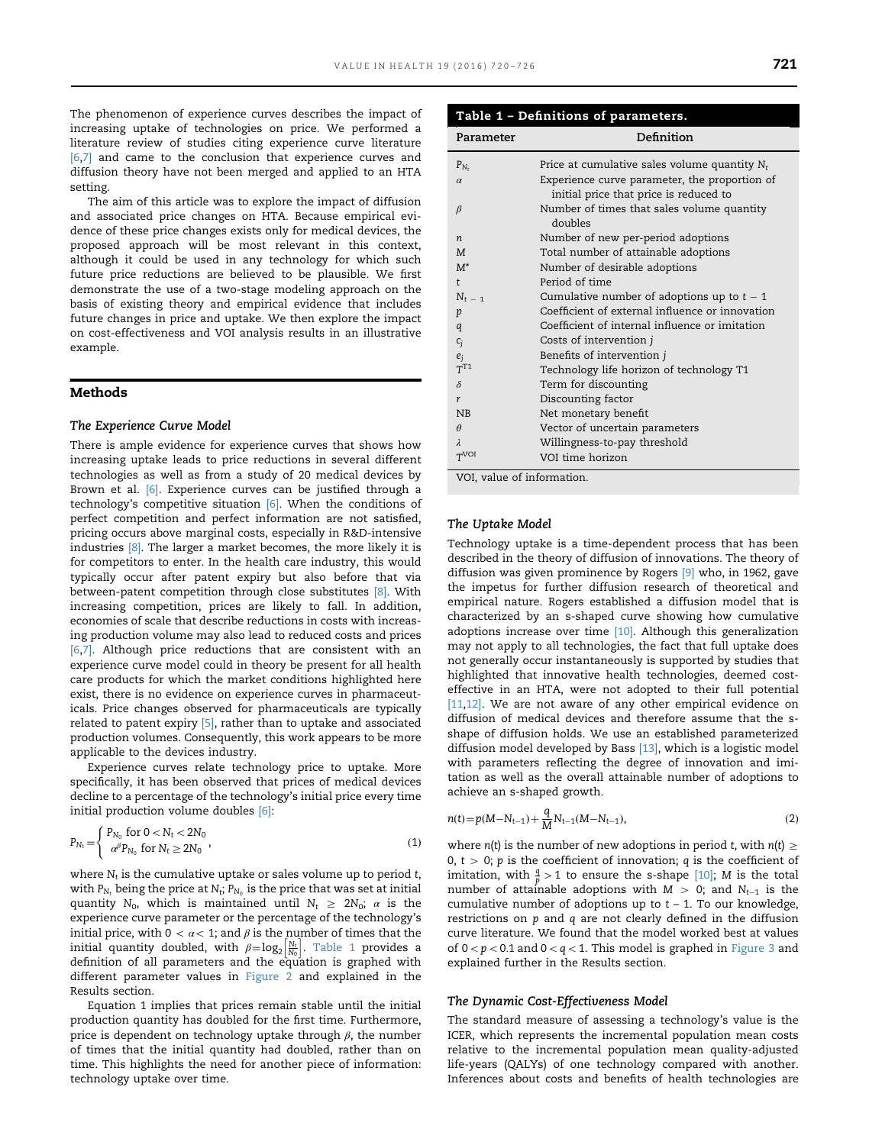The phenomenon of experience curves describes the impact of increasing uptake of technologies on price. We performed a literature review of studies citing experience curve literature [\[6](#page-5-0),[7\]](#page-5-0) and came to the conclusion that experience curves and diffusion theory have not been merged and applied to an HTA setting.

The aim of this article was to explore the impact of diffusion and associated price changes on HTA. Because empirical evidence of these price changes exists only for medical devices, the proposed approach will be most relevant in this context, although it could be used in any technology for which such future price reductions are believed to be plausible. We first demonstrate the use of a two-stage modeling approach on the basis of existing theory and empirical evidence that includes future changes in price and uptake. We then explore the impact on cost-effectiveness and VOI analysis results in an illustrative example.

# Methods

#### The Experience Curve Model

There is ample evidence for experience curves that shows how increasing uptake leads to price reductions in several different technologies as well as from a study of 20 medical devices by Brown et al. [\[6\]](#page-5-0). Experience curves can be justified through a technology's competitive situation [\[6\].](#page-5-0) When the conditions of perfect competition and perfect information are not satisfied, pricing occurs above marginal costs, especially in R&D-intensive industries [\[8\]](#page-5-0). The larger a market becomes, the more likely it is for competitors to enter. In the health care industry, this would typically occur after patent expiry but also before that via between-patent competition through close substitutes [\[8\]](#page-5-0). With increasing competition, prices are likely to fall. In addition, economies of scale that describe reductions in costs with increasing production volume may also lead to reduced costs and prices [\[6](#page-5-0),[7\].](#page-5-0) Although price reductions that are consistent with an experience curve model could in theory be present for all health care products for which the market conditions highlighted here exist, there is no evidence on experience curves in pharmaceuticals. Price changes observed for pharmaceuticals are typically related to patent expiry [\[5\]](#page-5-0), rather than to uptake and associated production volumes. Consequently, this work appears to be more applicable to the devices industry.

Experience curves relate technology price to uptake. More specifically, it has been observed that prices of medical devices decline to a percentage of the technology's initial price every time initial production volume doubles [\[6\]](#page-5-0):

$$
P_{N_t} = \begin{cases} P_{N_0} \text{ for } 0 < N_t < 2N_0 \\ \alpha^{\beta} P_{N_0} \text{ for } N_t \ge 2N_0 \end{cases},
$$
 (1)

where  $N_t$  is the cumulative uptake or sales volume up to period t, with  $P_{N_t}$  being the price at  $N_t$ ;  $P_{N_0}$  is the price that was set at initial quantity N<sub>0</sub>, which is maintained until  $N_t \geq 2N_0$ ;  $\alpha$  is the experience curve parameter or the percentage of the technology's initial price, with  $0 < \alpha < 1$ ; and  $\beta$  is the number of times that the initial quantity doubled, with  $\beta = \log_2 \left| \frac{N_t}{N_0} \right|$ . Table 1 provides a definition of all parameters and the equation is graphed with different parameter values in [Figure 2](#page-3-0) and explained in the Results section.

Equation 1 implies that prices remain stable until the initial production quantity has doubled for the first time. Furthermore, price is dependent on technology uptake through  $\beta$ , the number of times that the initial quantity had doubled, rather than on time. This highlights the need for another piece of information: technology uptake over time.

# Table 1 – Definitions of parameters.

| Parameter                  | Definition                                      |
|----------------------------|-------------------------------------------------|
| $P_{N_t}$                  | Price at cumulative sales volume quantity $N_t$ |
| $\alpha$                   | Experience curve parameter, the proportion of   |
|                            | initial price that price is reduced to          |
| $\beta$                    | Number of times that sales volume quantity      |
|                            | doubles                                         |
| $\boldsymbol{n}$           | Number of new per-period adoptions              |
| M                          | Total number of attainable adoptions            |
| $M^*$                      | Number of desirable adoptions                   |
| t                          | Period of time                                  |
| $N_{t-1}$                  | Cumulative number of adoptions up to $t - 1$    |
| $\boldsymbol{p}$           | Coefficient of external influence or innovation |
| q                          | Coefficient of internal influence or imitation  |
| $c_j$                      | Costs of intervention j                         |
| $e_j$<br>$T^{T1}$          | Benefits of intervention j                      |
|                            | Technology life horizon of technology T1        |
| $\delta$                   | Term for discounting                            |
| r                          | Discounting factor                              |
| NB                         | Net monetary benefit                            |
| $\theta$                   | Vector of uncertain parameters                  |
| $\lambda$                  | Willingness-to-pay threshold                    |
| T <sup>VOI</sup>           | VOI time horizon                                |
| VOI, value of information. |                                                 |

#### The Uptake Model

Technology uptake is a time-dependent process that has been described in the theory of diffusion of innovations. The theory of diffusion was given prominence by Rogers [\[9\]](#page-5-0) who, in 1962, gave the impetus for further diffusion research of theoretical and empirical nature. Rogers established a diffusion model that is characterized by an s-shaped curve showing how cumulative adoptions increase over time [\[10\].](#page-5-0) Although this generalization may not apply to all technologies, the fact that full uptake does not generally occur instantaneously is supported by studies that highlighted that innovative health technologies, deemed costeffective in an HTA, were not adopted to their full potential [\[11,12\]](#page-5-0). We are not aware of any other empirical evidence on diffusion of medical devices and therefore assume that the sshape of diffusion holds. We use an established parameterized diffusion model developed by Bass [\[13\],](#page-5-0) which is a logistic model with parameters reflecting the degree of innovation and imitation as well as the overall attainable number of adoptions to achieve an s-shaped growth.

$$
n(t) = p(M - N_{t-1}) + \frac{q}{M} N_{t-1}(M - N_{t-1}),
$$
\n(2)

where  $n(t)$  is the number of new adoptions in period t, with  $n(t) \geq$ 0,  $t > 0$ ; p is the coefficient of innovation; q is the coefficient of imitation, with  $\frac{q}{p} > 1$  to ensure the s-shape [\[10\];](#page-5-0) M is the total number of attainable adoptions with  $M > 0$ ; and  $N_{t-1}$  is the cumulative number of adoptions up to  $t - 1$ . To our knowledge, restrictions on p and q are not clearly defined in the diffusion curve literature. We found that the model worked best at values of  $0 < p < 0.1$  and  $0 < q < 1$ . This model is graphed in [Figure 3](#page-3-0) and explained further in the Results section.

#### The Dynamic Cost-Effectiveness Model

The standard measure of assessing a technology's value is the ICER, which represents the incremental population mean costs relative to the incremental population mean quality-adjusted life-years (QALYs) of one technology compared with another. Inferences about costs and benefits of health technologies are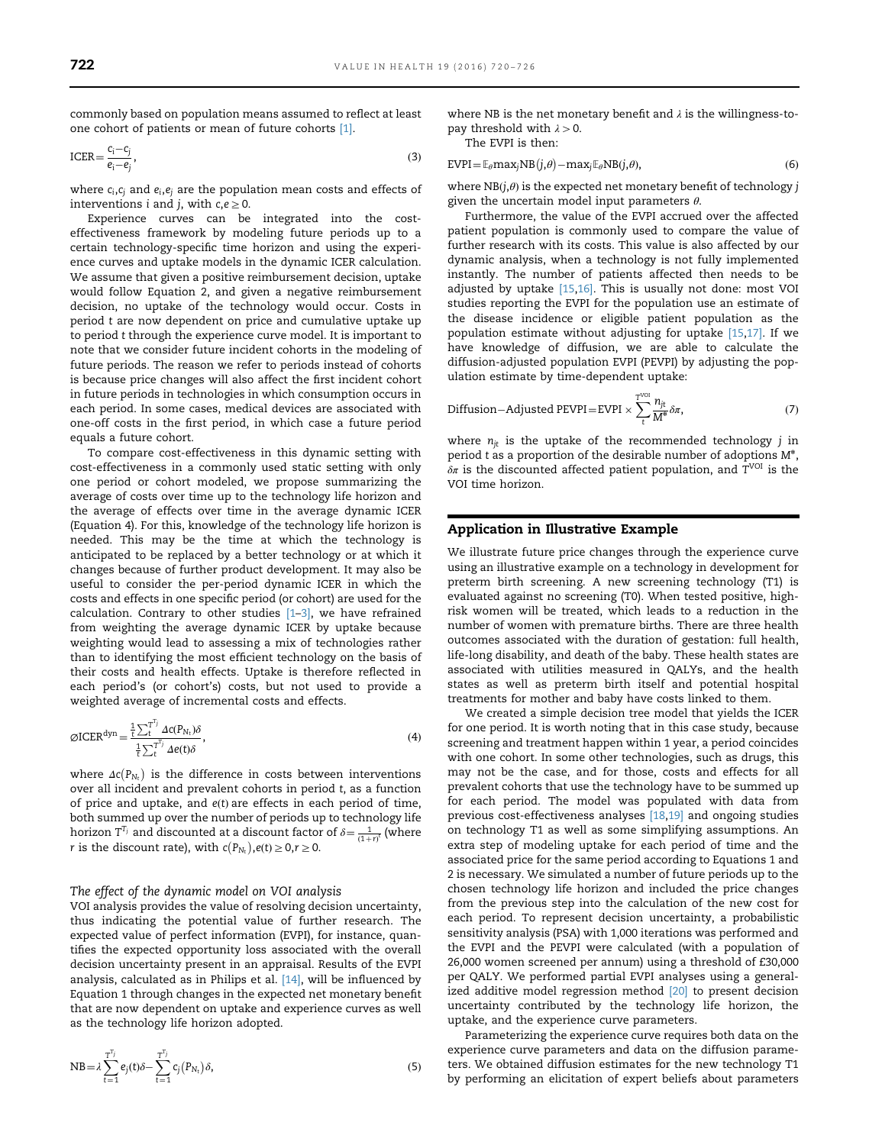commonly based on population means assumed to reflect at least one cohort of patients or mean of future cohorts [\[1\].](#page-5-0)

$$
\text{ICER} = \frac{c_i - c_j}{e_i - e_j},\tag{3}
$$

where  $c_i, c_j$  and  $e_i, e_j$  are the population mean costs and effects of interventions *i* and *j*, with  $c, e \ge 0$ .

Experience curves can be integrated into the costeffectiveness framework by modeling future periods up to a certain technology-specific time horizon and using the experience curves and uptake models in the dynamic ICER calculation. We assume that given a positive reimbursement decision, uptake would follow Equation 2, and given a negative reimbursement decision, no uptake of the technology would occur. Costs in period t are now dependent on price and cumulative uptake up to period t through the experience curve model. It is important to note that we consider future incident cohorts in the modeling of future periods. The reason we refer to periods instead of cohorts is because price changes will also affect the first incident cohort in future periods in technologies in which consumption occurs in each period. In some cases, medical devices are associated with one-off costs in the first period, in which case a future period equals a future cohort.

To compare cost-effectiveness in this dynamic setting with cost-effectiveness in a commonly used static setting with only one period or cohort modeled, we propose summarizing the average of costs over time up to the technology life horizon and the average of effects over time in the average dynamic ICER (Equation 4). For this, knowledge of the technology life horizon is needed. This may be the time at which the technology is anticipated to be replaced by a better technology or at which it changes because of further product development. It may also be useful to consider the per-period dynamic ICER in which the costs and effects in one specific period (or cohort) are used for the calculation. Contrary to other studies  $[1-3]$  $[1-3]$  $[1-3]$ , we have refrained from weighting the average dynamic ICER by uptake because weighting would lead to assessing a mix of technologies rather than to identifying the most efficient technology on the basis of their costs and health effects. Uptake is therefore reflected in each period's (or cohort's) costs, but not used to provide a weighted average of incremental costs and effects.

$$
\varnothing \text{ICER}^{\text{dyn}} = \frac{\frac{1}{t} \sum_{t}^{T^{T_{j}}} \Delta c(P_{N_{t}}) \delta}{\frac{1}{t} \sum_{t}^{T^{T_{j}}} \Delta e(t) \delta},
$$
\n(4)

where  $\Delta c(P_{N_t})$  is the difference in costs between interventions over all incident and prevalent cohorts in period t, as a function of price and uptake, and  $e(t)$  are effects in each period of time, both summed up over the number of periods up to technology life horizon  $T^{T_j}$  and discounted at a discount factor of  $\delta = \frac{1}{(1+r)^t}$  (where r is the discount rate), with  $c(P_{N_t}), e(t) \ge 0, r \ge 0$ .

# The effect of the dynamic model on VOI analysis

VOI analysis provides the value of resolving decision uncertainty, thus indicating the potential value of further research. The expected value of perfect information (EVPI), for instance, quantifies the expected opportunity loss associated with the overall decision uncertainty present in an appraisal. Results of the EVPI analysis, calculated as in Philips et al. [\[14\],](#page-5-0) will be influenced by Equation 1 through changes in the expected net monetary benefit that are now dependent on uptake and experience curves as well as the technology life horizon adopted.

NB = 
$$
\lambda \sum_{t=1}^{T^{T_j}} e_j(t)\delta - \sum_{t=1}^{T^{T_j}} c_j(P_{N_t})\delta,
$$
 (5)

where NB is the net monetary benefit and  $\lambda$  is the willingness-topay threshold with  $\lambda > 0$ .

The EVPI is then:

$$
EVPI = \mathbb{E}_{\theta} \text{max}_{j} NB(j, \theta) - \text{max}_{j} \mathbb{E}_{\theta} NB(j, \theta), \tag{6}
$$

where  $NB(j,\theta)$  is the expected net monetary benefit of technology j given the uncertain model input parameters  $\theta$ .

Furthermore, the value of the EVPI accrued over the affected patient population is commonly used to compare the value of further research with its costs. This value is also affected by our dynamic analysis, when a technology is not fully implemented instantly. The number of patients affected then needs to be adjusted by uptake [\[15,16\]](#page-5-0). This is usually not done: most VOI studies reporting the EVPI for the population use an estimate of the disease incidence or eligible patient population as the population estimate without adjusting for uptake [\[15,17\]](#page-5-0). If we have knowledge of diffusion, we are able to calculate the diffusion-adjusted population EVPI (PEVPI) by adjusting the population estimate by time-dependent uptake:

Diffusion–Adjusted PEVPI = EVPI 
$$
\times \sum_{t}^{\text{V}^{U0}} \frac{n_{jt}}{M^*} \delta \pi
$$
, (7)

where  $n_{jt}$  is the uptake of the recommended technology  $j$  in period t as a proportion of the desirable number of adoptions  $M^*$ ,  $\delta \pi$  is the discounted affected patient population, and  $T^{VOI}$  is the VOI time horizon.

# Application in Illustrative Example

We illustrate future price changes through the experience curve using an illustrative example on a technology in development for preterm birth screening. A new screening technology (T1) is evaluated against no screening (T0). When tested positive, highrisk women will be treated, which leads to a reduction in the number of women with premature births. There are three health outcomes associated with the duration of gestation: full health, life-long disability, and death of the baby. These health states are associated with utilities measured in QALYs, and the health states as well as preterm birth itself and potential hospital treatments for mother and baby have costs linked to them.

We created a simple decision tree model that yields the ICER for one period. It is worth noting that in this case study, because screening and treatment happen within 1 year, a period coincides with one cohort. In some other technologies, such as drugs, this may not be the case, and for those, costs and effects for all prevalent cohorts that use the technology have to be summed up for each period. The model was populated with data from previous cost-effectiveness analyses [\[18,19\]](#page-5-0) and ongoing studies on technology T1 as well as some simplifying assumptions. An extra step of modeling uptake for each period of time and the associated price for the same period according to Equations 1 and 2 is necessary. We simulated a number of future periods up to the chosen technology life horizon and included the price changes from the previous step into the calculation of the new cost for each period. To represent decision uncertainty, a probabilistic sensitivity analysis (PSA) with 1,000 iterations was performed and the EVPI and the PEVPI were calculated (with a population of 26,000 women screened per annum) using a threshold of £30,000 per QALY. We performed partial EVPI analyses using a general-ized additive model regression method <a>[\[20\]](#page-5-0)</a> to present decision uncertainty contributed by the technology life horizon, the uptake, and the experience curve parameters.

Parameterizing the experience curve requires both data on the experience curve parameters and data on the diffusion parameters. We obtained diffusion estimates for the new technology T1 by performing an elicitation of expert beliefs about parameters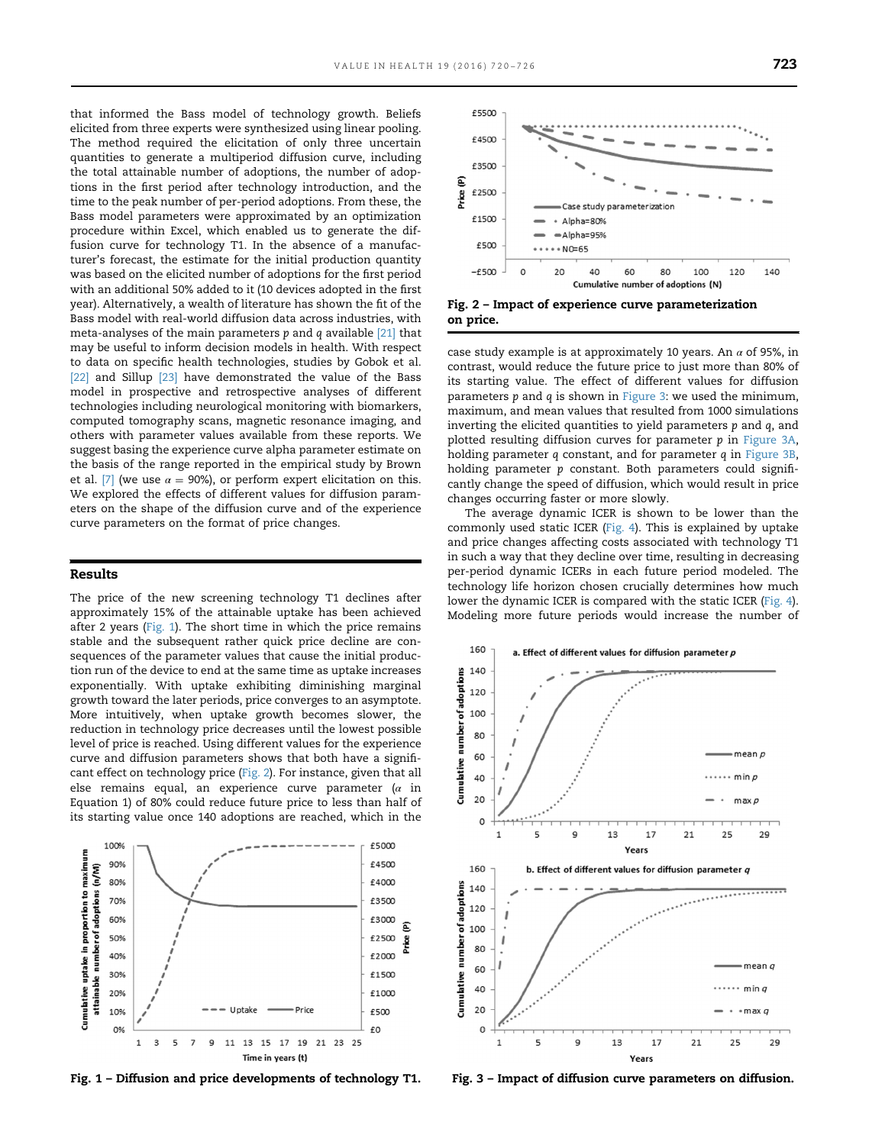<span id="page-3-0"></span>that informed the Bass model of technology growth. Beliefs elicited from three experts were synthesized using linear pooling. The method required the elicitation of only three uncertain quantities to generate a multiperiod diffusion curve, including the total attainable number of adoptions, the number of adoptions in the first period after technology introduction, and the time to the peak number of per-period adoptions. From these, the Bass model parameters were approximated by an optimization procedure within Excel, which enabled us to generate the diffusion curve for technology T1. In the absence of a manufacturer's forecast, the estimate for the initial production quantity was based on the elicited number of adoptions for the first period with an additional 50% added to it (10 devices adopted in the first year). Alternatively, a wealth of literature has shown the fit of the Bass model with real-world diffusion data across industries, with meta-analyses of the main parameters  $p$  and  $q$  available  $[21]$  that may be useful to inform decision models in health. With respect to data on specific health technologies, studies by Gobok et al. [\[22\]](#page-6-0) and Sillup [\[23\]](#page-6-0) have demonstrated the value of the Bass model in prospective and retrospective analyses of different technologies including neurological monitoring with biomarkers, computed tomography scans, magnetic resonance imaging, and others with parameter values available from these reports. We suggest basing the experience curve alpha parameter estimate on the basis of the range reported in the empirical study by Brown et al. [\[7\]](#page-5-0) (we use  $\alpha = 90\%$ ), or perform expert elicitation on this. We explored the effects of different values for diffusion parameters on the shape of the diffusion curve and of the experience curve parameters on the format of price changes.

# Results

The price of the new screening technology T1 declines after approximately 15% of the attainable uptake has been achieved after 2 years (Fig. 1). The short time in which the price remains stable and the subsequent rather quick price decline are consequences of the parameter values that cause the initial production run of the device to end at the same time as uptake increases exponentially. With uptake exhibiting diminishing marginal growth toward the later periods, price converges to an asymptote. More intuitively, when uptake growth becomes slower, the reduction in technology price decreases until the lowest possible level of price is reached. Using different values for the experience curve and diffusion parameters shows that both have a significant effect on technology price (Fig. 2). For instance, given that all else remains equal, an experience curve parameter ( $\alpha$  in Equation 1) of 80% could reduce future price to less than half of its starting value once 140 adoptions are reached, which in the



Fig. 1 – Diffusion and price developments of technology T1.



Fig. 2 – Impact of experience curve parameterization on price.

case study example is at approximately 10 years. An  $\alpha$  of 95%, in contrast, would reduce the future price to just more than 80% of its starting value. The effect of different values for diffusion parameters p and q is shown in Figure 3: we used the minimum, maximum, and mean values that resulted from 1000 simulations inverting the elicited quantities to yield parameters p and q, and plotted resulting diffusion curves for parameter p in Figure 3A, holding parameter q constant, and for parameter q in Figure 3B, holding parameter  $p$  constant. Both parameters could significantly change the speed of diffusion, which would result in price changes occurring faster or more slowly.

The average dynamic ICER is shown to be lower than the commonly used static ICER [\(Fig. 4](#page-4-0)). This is explained by uptake and price changes affecting costs associated with technology T1 in such a way that they decline over time, resulting in decreasing per-period dynamic ICERs in each future period modeled. The technology life horizon chosen crucially determines how much lower the dynamic ICER is compared with the static ICER [\(Fig. 4\)](#page-4-0). Modeling more future periods would increase the number of



Fig. 3 – Impact of diffusion curve parameters on diffusion.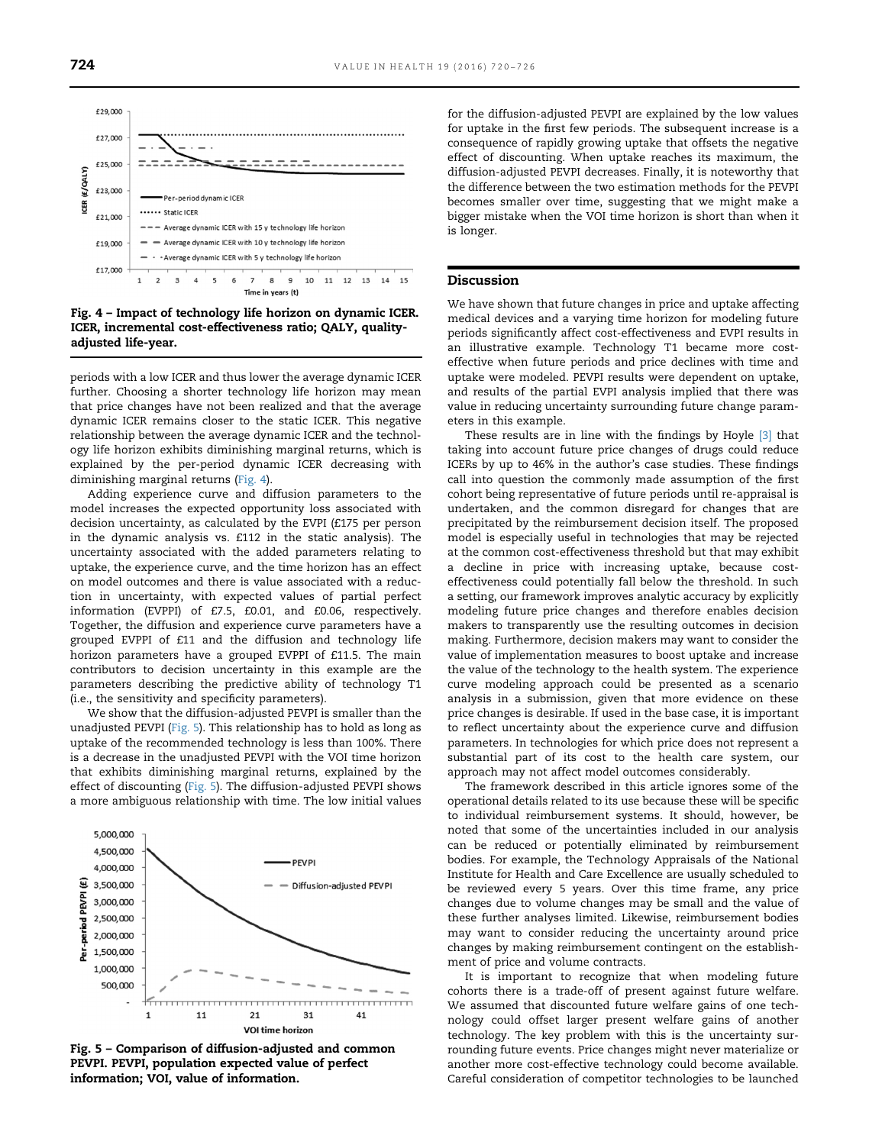<span id="page-4-0"></span>

Fig. 4 – Impact of technology life horizon on dynamic ICER. ICER, incremental cost-effectiveness ratio; QALY, qualityadjusted life-year.

periods with a low ICER and thus lower the average dynamic ICER further. Choosing a shorter technology life horizon may mean that price changes have not been realized and that the average dynamic ICER remains closer to the static ICER. This negative relationship between the average dynamic ICER and the technology life horizon exhibits diminishing marginal returns, which is explained by the per-period dynamic ICER decreasing with diminishing marginal returns (Fig. 4).

Adding experience curve and diffusion parameters to the model increases the expected opportunity loss associated with decision uncertainty, as calculated by the EVPI (£175 per person in the dynamic analysis vs. £112 in the static analysis). The uncertainty associated with the added parameters relating to uptake, the experience curve, and the time horizon has an effect on model outcomes and there is value associated with a reduction in uncertainty, with expected values of partial perfect information (EVPPI) of £7.5, £0.01, and £0.06, respectively. Together, the diffusion and experience curve parameters have a grouped EVPPI of £11 and the diffusion and technology life horizon parameters have a grouped EVPPI of £11.5. The main contributors to decision uncertainty in this example are the parameters describing the predictive ability of technology T1 (i.e., the sensitivity and specificity parameters).

We show that the diffusion-adjusted PEVPI is smaller than the unadjusted PEVPI (Fig. 5). This relationship has to hold as long as uptake of the recommended technology is less than 100%. There is a decrease in the unadjusted PEVPI with the VOI time horizon that exhibits diminishing marginal returns, explained by the effect of discounting (Fig. 5). The diffusion-adjusted PEVPI shows a more ambiguous relationship with time. The low initial values



Fig. 5 – Comparison of diffusion-adjusted and common PEVPI. PEVPI, population expected value of perfect information; VOI, value of information.

for the diffusion-adjusted PEVPI are explained by the low values for uptake in the first few periods. The subsequent increase is a consequence of rapidly growing uptake that offsets the negative effect of discounting. When uptake reaches its maximum, the diffusion-adjusted PEVPI decreases. Finally, it is noteworthy that the difference between the two estimation methods for the PEVPI becomes smaller over time, suggesting that we might make a bigger mistake when the VOI time horizon is short than when it is longer.

#### Discussion

We have shown that future changes in price and uptake affecting medical devices and a varying time horizon for modeling future periods significantly affect cost-effectiveness and EVPI results in an illustrative example. Technology T1 became more costeffective when future periods and price declines with time and uptake were modeled. PEVPI results were dependent on uptake, and results of the partial EVPI analysis implied that there was value in reducing uncertainty surrounding future change parameters in this example.

These results are in line with the findings by Hoyle [\[3\]](#page-5-0) that taking into account future price changes of drugs could reduce ICERs by up to 46% in the author's case studies. These findings call into question the commonly made assumption of the first cohort being representative of future periods until re-appraisal is undertaken, and the common disregard for changes that are precipitated by the reimbursement decision itself. The proposed model is especially useful in technologies that may be rejected at the common cost-effectiveness threshold but that may exhibit a decline in price with increasing uptake, because costeffectiveness could potentially fall below the threshold. In such a setting, our framework improves analytic accuracy by explicitly modeling future price changes and therefore enables decision makers to transparently use the resulting outcomes in decision making. Furthermore, decision makers may want to consider the value of implementation measures to boost uptake and increase the value of the technology to the health system. The experience curve modeling approach could be presented as a scenario analysis in a submission, given that more evidence on these price changes is desirable. If used in the base case, it is important to reflect uncertainty about the experience curve and diffusion parameters. In technologies for which price does not represent a substantial part of its cost to the health care system, our approach may not affect model outcomes considerably.

The framework described in this article ignores some of the operational details related to its use because these will be specific to individual reimbursement systems. It should, however, be noted that some of the uncertainties included in our analysis can be reduced or potentially eliminated by reimbursement bodies. For example, the Technology Appraisals of the National Institute for Health and Care Excellence are usually scheduled to be reviewed every 5 years. Over this time frame, any price changes due to volume changes may be small and the value of these further analyses limited. Likewise, reimbursement bodies may want to consider reducing the uncertainty around price changes by making reimbursement contingent on the establishment of price and volume contracts.

It is important to recognize that when modeling future cohorts there is a trade-off of present against future welfare. We assumed that discounted future welfare gains of one technology could offset larger present welfare gains of another technology. The key problem with this is the uncertainty surrounding future events. Price changes might never materialize or another more cost-effective technology could become available. Careful consideration of competitor technologies to be launched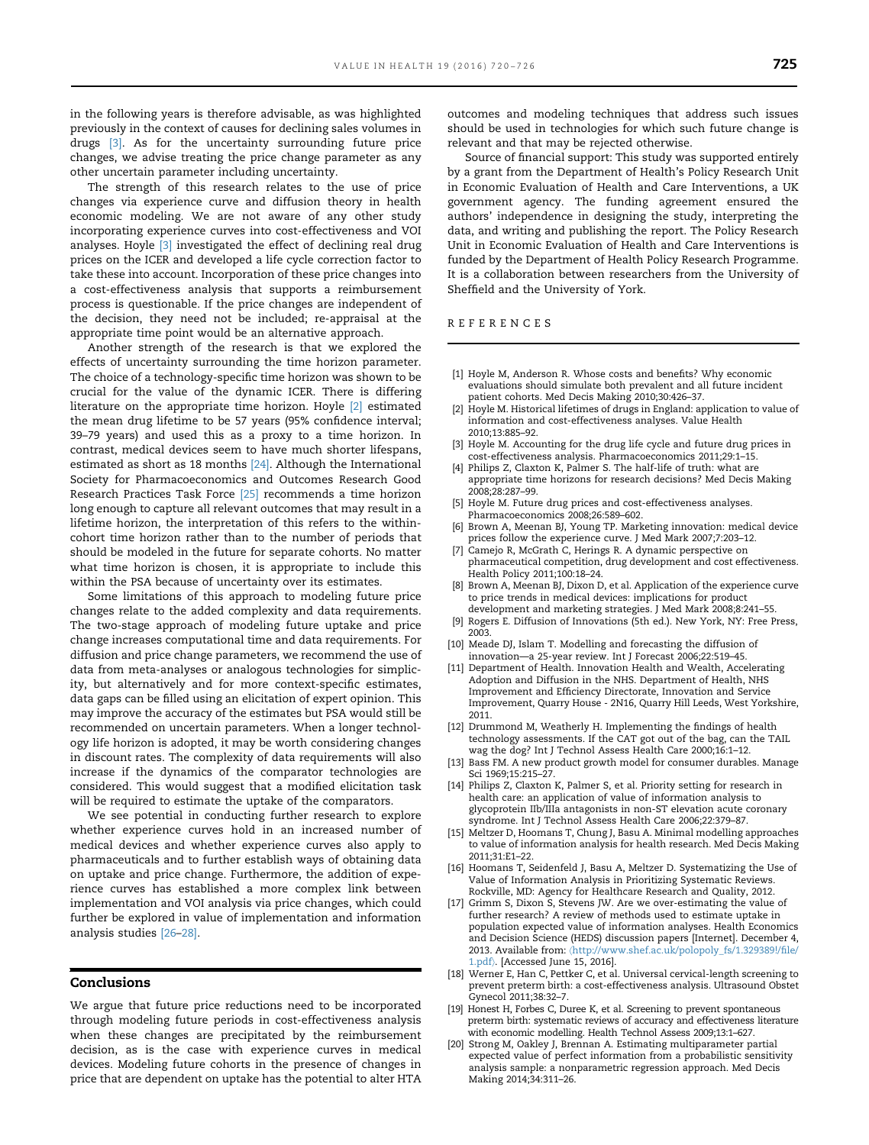<span id="page-5-0"></span>in the following years is therefore advisable, as was highlighted previously in the context of causes for declining sales volumes in drugs [3]. As for the uncertainty surrounding future price changes, we advise treating the price change parameter as any other uncertain parameter including uncertainty.

The strength of this research relates to the use of price changes via experience curve and diffusion theory in health economic modeling. We are not aware of any other study incorporating experience curves into cost-effectiveness and VOI analyses. Hoyle [3] investigated the effect of declining real drug prices on the ICER and developed a life cycle correction factor to take these into account. Incorporation of these price changes into a cost-effectiveness analysis that supports a reimbursement process is questionable. If the price changes are independent of the decision, they need not be included; re-appraisal at the appropriate time point would be an alternative approach.

Another strength of the research is that we explored the effects of uncertainty surrounding the time horizon parameter. The choice of a technology-specific time horizon was shown to be crucial for the value of the dynamic ICER. There is differing literature on the appropriate time horizon. Hoyle [2] estimated the mean drug lifetime to be 57 years (95% confidence interval; 39–79 years) and used this as a proxy to a time horizon. In contrast, medical devices seem to have much shorter lifespans, estimated as short as 18 months [\[24\]](#page-6-0). Although the International Society for Pharmacoeconomics and Outcomes Research Good Research Practices Task Force [\[25\]](#page-6-0) recommends a time horizon long enough to capture all relevant outcomes that may result in a lifetime horizon, the interpretation of this refers to the withincohort time horizon rather than to the number of periods that should be modeled in the future for separate cohorts. No matter what time horizon is chosen, it is appropriate to include this within the PSA because of uncertainty over its estimates.

Some limitations of this approach to modeling future price changes relate to the added complexity and data requirements. The two-stage approach of modeling future uptake and price change increases computational time and data requirements. For diffusion and price change parameters, we recommend the use of data from meta-analyses or analogous technologies for simplicity, but alternatively and for more context-specific estimates, data gaps can be filled using an elicitation of expert opinion. This may improve the accuracy of the estimates but PSA would still be recommended on uncertain parameters. When a longer technology life horizon is adopted, it may be worth considering changes in discount rates. The complexity of data requirements will also increase if the dynamics of the comparator technologies are considered. This would suggest that a modified elicitation task will be required to estimate the uptake of the comparators.

We see potential in conducting further research to explore whether experience curves hold in an increased number of medical devices and whether experience curves also apply to pharmaceuticals and to further establish ways of obtaining data on uptake and price change. Furthermore, the addition of experience curves has established a more complex link between implementation and VOI analysis via price changes, which could further be explored in value of implementation and information analysis studies [\[26](#page-6-0)–[28\].](#page-6-0)

# Conclusions

We argue that future price reductions need to be incorporated through modeling future periods in cost-effectiveness analysis when these changes are precipitated by the reimbursement decision, as is the case with experience curves in medical devices. Modeling future cohorts in the presence of changes in price that are dependent on uptake has the potential to alter HTA

outcomes and modeling techniques that address such issues should be used in technologies for which such future change is relevant and that may be rejected otherwise.

Source of financial support: This study was supported entirely by a grant from the Department of Health's Policy Research Unit in Economic Evaluation of Health and Care Interventions, a UK government agency. The funding agreement ensured the authors' independence in designing the study, interpreting the data, and writing and publishing the report. The Policy Research Unit in Economic Evaluation of Health and Care Interventions is funded by the Department of Health Policy Research Programme. It is a collaboration between researchers from the University of Sheffield and the University of York.

REFERENCES

- [1] Hoyle M, Anderson R. Whose costs and benefits? Why economic evaluations should simulate both prevalent and all future incident patient cohorts. Med Decis Making 2010;30:426–37.
- [2] Hoyle M. Historical lifetimes of drugs in England: application to value of information and cost-effectiveness analyses. Value Health 2010;13:885–92.
- [3] Hoyle M. Accounting for the drug life cycle and future drug prices in cost-effectiveness analysis. Pharmacoeconomics 2011;29:1–15.
- [4] Philips Z, Claxton K, Palmer S. The half-life of truth: what are appropriate time horizons for research decisions? Med Decis Making 2008;28:287–99.
- [5] Hoyle M. Future drug prices and cost-effectiveness analyses. Pharmacoeconomics 2008;26:589–602.
- [6] Brown A, Meenan BJ, Young TP. Marketing innovation: medical device prices follow the experience curve. J Med Mark 2007;7:203–12.
- [7] Camejo R, McGrath C, Herings R. A dynamic perspective on pharmaceutical competition, drug development and cost effectiveness. Health Policy 2011;100:18–24.
- [8] Brown A, Meenan BJ, Dixon D, et al. Application of the experience curve to price trends in medical devices: implications for product development and marketing strategies. J Med Mark 2008;8:241–55.
- [9] Rogers E. Diffusion of Innovations (5th ed.). New York, NY: Free Press, 2003.
- [10] Meade DJ, Islam T. Modelling and forecasting the diffusion of innovation—a 25-year review. Int J Forecast 2006;22:519–45.
- [11] Department of Health. Innovation Health and Wealth, Accelerating Adoption and Diffusion in the NHS. Department of Health, NHS Improvement and Efficiency Directorate, Innovation and Service Improvement, Quarry House - 2N16, Quarry Hill Leeds, West Yorkshire, 2011.
- [12] Drummond M, Weatherly H. Implementing the findings of health technology assessments. If the CAT got out of the bag, can the TAIL wag the dog? Int J Technol Assess Health Care 2000;16:1–12.
- [13] Bass FM. A new product growth model for consumer durables. Manage Sci 1969;15:215–27.
- [14] Philips Z, Claxton K, Palmer S, et al. Priority setting for research in health care: an application of value of information analysis to glycoprotein IIb/IIIa antagonists in non-ST elevation acute coronary syndrome. Int J Technol Assess Health Care 2006;22:379–87.
- [15] Meltzer D, Hoomans T, Chung J, Basu A. Minimal modelling approaches to value of information analysis for health research. Med Decis Making 2011;31:E1–22.
- [16] Hoomans T, Seidenfeld J, Basu A, Meltzer D. Systematizing the Use of Value of Information Analysis in Prioritizing Systematic Reviews. Rockville, MD: Agency for Healthcare Research and Quality, 2012.
- [17] Grimm S, Dixon S, Stevens JW. Are we over-estimating the value of further research? A review of methods used to estimate uptake in population expected value of information analyses. Health Economics and Decision Science (HEDS) discussion papers [Internet]. December 4, 2013. Available from: 〈[http://www.shef.ac.uk/polopoly\\_fs/1.329389!/](http://www.shef.ac.uk/polopoly_fs/1.329389!/file/1.pdf)file/ [1.pdf](http://www.shef.ac.uk/polopoly_fs/1.329389!/file/1.pdf)〉. [Accessed June 15, 2016].
- [18] Werner E, Han C, Pettker C, et al. Universal cervical-length screening to prevent preterm birth: a cost-effectiveness analysis. Ultrasound Obstet Gynecol 2011;38:32–7.
- [19] Honest H, Forbes C, Duree K, et al. Screening to prevent spontaneous preterm birth: systematic reviews of accuracy and effectiveness literature with economic modelling. Health Technol Assess 2009;13:1–627.
- [20] Strong M, Oakley J, Brennan A. Estimating multiparameter partial expected value of perfect information from a probabilistic sensitivity analysis sample: a nonparametric regression approach. Med Decis Making 2014;34:311–26.